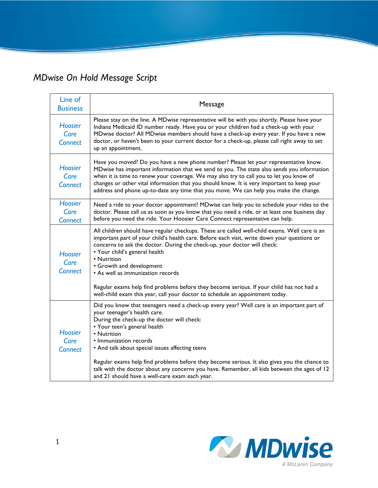## *MDwise On Hold Message Script*

| Line of<br><b>Business</b>               | Message                                                                                                                                                                                                                                                                                                                                                                                                                                                                                                                                                                |
|------------------------------------------|------------------------------------------------------------------------------------------------------------------------------------------------------------------------------------------------------------------------------------------------------------------------------------------------------------------------------------------------------------------------------------------------------------------------------------------------------------------------------------------------------------------------------------------------------------------------|
| <b>Hoosier</b><br>Care<br><b>Connect</b> | Please stay on the line. A MDwise representative will be with you shortly. Please have your<br>Indiana Medicaid ID number ready. Have you or your children had a check-up with your<br>MDwise doctor? All MDwise members should have a check-up every year. If you have a new<br>doctor, or haven't been to your current doctor for a check-up, please call right away to set<br>up an appointment.                                                                                                                                                                    |
| <b>Hoosier</b><br>Care<br><b>Connect</b> | Have you moved? Do you have a new phone number? Please let your representative know.<br>MDwise has important information that we send to you. The state also sends you information<br>when it is time to renew your coverage. We may also try to call you to let you know of<br>changes or other vital information that you should know. It is very important to keep your<br>address and phone up-to-date any time that you move. We can help you make the change.                                                                                                    |
| <b>Hoosier</b><br>Care<br><b>Connect</b> | Need a ride to your doctor appointment? MDwise can help you to schedule your rides to the<br>doctor. Please call us as soon as you know that you need a ride, or at least one business day<br>before you need the ride. Your Hoosier Care Connect representative can help.                                                                                                                                                                                                                                                                                             |
| <b>Hoosier</b><br>Care<br><b>Connect</b> | All children should have regular checkups. These are called well-child exams. Well care is an<br>important part of your child's health care. Before each visit, write down your questions or<br>concerns to ask the doctor. During the check-up, your doctor will check:<br>• Your child's general health<br>• Nutrition<br>• Growth and development<br>• As well as immunization records<br>Regular exams help find problems before they become serious. If your child has not had a<br>well-child exam this year, call your doctor to schedule an appointment today. |
| <b>Hoosier</b><br>Care<br><b>Connect</b> | Did you know that teenagers need a check-up every year? Well care is an important part of<br>your teenager's health care.<br>During the check-up the doctor will check:<br>• Your teen's general health<br>• Nutrition<br>• Immunization records<br>• And talk about special issues affecting teens<br>Regular exams help find problems before they become serious. It also gives you the chance to<br>talk with the doctor about any concerns you have. Remember, all kids between the ages of 12<br>and 21 should have a well-care exam each year.                   |

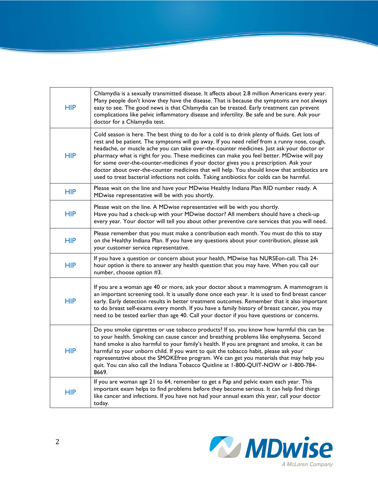| <b>HIP</b> | Chlamydia is a sexually transmitted disease. It affects about 2.8 million Americans every year.<br>Many people don't know they have the disease. That is because the symptoms are not always<br>easy to see. The good news is that Chlamydia can be treated. Early treatment can prevent<br>complications like pelvic inflammatory disease and infertility. Be safe and be sure. Ask your<br>doctor for a Chlamydia test.                                                                                                                                                                                                                                                       |
|------------|---------------------------------------------------------------------------------------------------------------------------------------------------------------------------------------------------------------------------------------------------------------------------------------------------------------------------------------------------------------------------------------------------------------------------------------------------------------------------------------------------------------------------------------------------------------------------------------------------------------------------------------------------------------------------------|
| <b>HIP</b> | Cold season is here. The best thing to do for a cold is to drink plenty of fluids. Get lots of<br>rest and be patient. The symptoms will go away. If you need relief from a runny nose, cough,<br>headache, or muscle ache you can take over-the-counter medicines. Just ask your doctor or<br>pharmacy what is right for you. These medicines can make you feel better. MDwise will pay<br>for some over-the-counter-medicines if your doctor gives you a prescription. Ask your<br>doctor about over-the-counter medicines that will help. You should know that antibiotics are<br>used to treat bacterial infections not colds. Taking antibiotics for colds can be harmful. |
| <b>HIP</b> | Please wait on the line and have your MDwise Healthy Indiana Plan RID number ready. A<br>MDwise representative will be with you shortly.                                                                                                                                                                                                                                                                                                                                                                                                                                                                                                                                        |
| <b>HIP</b> | Please wait on the line. A MDwise representative will be with you shortly.<br>Have you had a check-up with your MDwise doctor? All members should have a check-up<br>every year. Your doctor will tell you about other preventive care services that you will need.                                                                                                                                                                                                                                                                                                                                                                                                             |
| <b>HIP</b> | Please remember that you must make a contribution each month. You must do this to stay<br>on the Healthy Indiana Plan. If you have any questions about your contribution, please ask<br>your customer service representative.                                                                                                                                                                                                                                                                                                                                                                                                                                                   |
| <b>HIP</b> | If you have a question or concern about your health, MDwise has NURSEon-call. This 24-<br>hour option is there to answer any health question that you may have. When you call our<br>number, choose option #3.                                                                                                                                                                                                                                                                                                                                                                                                                                                                  |
| <b>HIP</b> | If you are a woman age 40 or more, ask your doctor about a mammogram. A mammogram is<br>an important screening tool. It is usually done once each year. It is used to find breast cancer<br>early. Early detection results in better treatment outcomes. Remember that it also important<br>to do breast self-exams every month. If you have a family history of breast cancer, you may<br>need to be tested earlier than age 40. Call your doctor if you have questions or concerns.                                                                                                                                                                                           |
| <b>HIP</b> | Do you smoke cigarettes or use tobacco products? If so, you know how harmful this can be<br>to your health. Smoking can cause cancer and breathing problems like emphysema. Second<br>hand smoke is also harmful to your family's health. If you are pregnant and smoke, it can be<br>harmful to your unborn child. If you want to quit the tobacco habit, please ask your<br>representative about the SMOKEfree program. We can get you materials that may help you<br>quit. You can also call the Indiana Tobacco Quitline at 1-800-QUIT-NOW or 1-800-784-<br>8669.                                                                                                           |
| <b>HIP</b> | If you are woman age 21 to 64, remember to get a Pap and pelvic exam each year. This<br>important exam helps to find problems before they become serious. It can help find things<br>like cancer and infections. If you have not had your annual exam this year, call your doctor<br>today.                                                                                                                                                                                                                                                                                                                                                                                     |

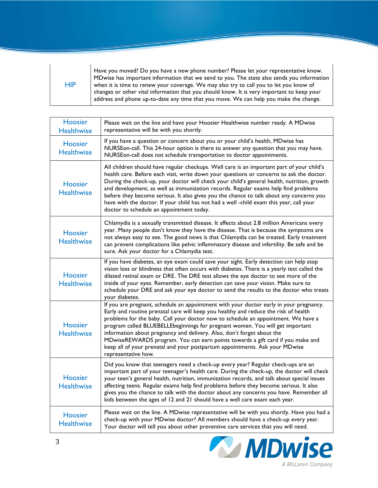| HIP | Have you moved? Do you have a new phone number? Please let your representative know.<br>MDwise has important information that we send to you. The state also sends you information<br>when it is time to renew your coverage. We may also try to call you to let you know of<br>changes or other vital information that you should know. It is very important to keep your<br>address and phone up-to-date any time that you move. We can help you make the change. |
|-----|---------------------------------------------------------------------------------------------------------------------------------------------------------------------------------------------------------------------------------------------------------------------------------------------------------------------------------------------------------------------------------------------------------------------------------------------------------------------|
|-----|---------------------------------------------------------------------------------------------------------------------------------------------------------------------------------------------------------------------------------------------------------------------------------------------------------------------------------------------------------------------------------------------------------------------------------------------------------------------|

| Hoosier<br><b>Healthwise</b>        | Please wait on the line and have your Hoosier Healthwise number ready. A MDwise<br>representative will be with you shortly.                                                                                                                                                                                                                                                                                                                                                                                                                                                                                           |
|-------------------------------------|-----------------------------------------------------------------------------------------------------------------------------------------------------------------------------------------------------------------------------------------------------------------------------------------------------------------------------------------------------------------------------------------------------------------------------------------------------------------------------------------------------------------------------------------------------------------------------------------------------------------------|
| <b>Hoosier</b><br><b>Healthwise</b> | If you have a question or concern about you or your child's health, MDwise has<br>NURSEon-call. This 24-hour option is there to answer any question that you may have.<br>NURSEon-call does not schedule transportation to doctor appointments.                                                                                                                                                                                                                                                                                                                                                                       |
| Hoosier<br><b>Healthwise</b>        | All children should have regular checkups. Well care is an important part of your child's<br>health care. Before each visit, write down your questions or concerns to ask the doctor.<br>During the check-up, your doctor will check your child's general health, nutrition, growth<br>and development, as well as immunization records. Regular exams help find problems<br>before they become serious. It also gives you the chance to talk about any concerns you<br>have with the doctor. If your child has not had a well -child exam this year, call your<br>doctor to schedule an appointment today.           |
| <b>Hoosier</b><br><b>Healthwise</b> | Chlamydia is a sexually transmitted disease. It affects about 2.8 million Americans every<br>year. Many people don't know they have the disease. That is because the symptoms are<br>not always easy to see. The good news is that Chlamydia can be treated. Early treatment<br>can prevent complications like pelvic inflammatory disease and infertility. Be safe and be<br>sure. Ask your doctor for a Chlamydia test.                                                                                                                                                                                             |
| <b>Hoosier</b><br><b>Healthwise</b> | If you have diabetes, an eye exam could save your sight. Early detection can help stop<br>vision loss or blindness that often occurs with diabetes. There is a yearly test called the<br>dilated retinal exam or DRE. The DRE test allows the eye doctor to see more of the<br>inside of your eyes. Remember, early detection can save your vision. Make sure to<br>schedule your DRE and ask your eye doctor to send the results to the doctor who treats<br>your diabetes.                                                                                                                                          |
| Hoosier<br><b>Healthwise</b>        | If you are pregnant, schedule an appointment with your doctor early in your pregnancy.<br>Early and routine prenatal care will keep you healthy and reduce the risk of health<br>problems for the baby. Call your doctor now to schedule an appointment. We have a<br>program called BLUEBELLEbeginnings for pregnant women. You will get important<br>information about pregnancy and delivery. Also, don't forget about the<br>MDwiseREWARDS program. You can earn points towards a gift card if you make and<br>keep all of your prenatal and your postpartum appointments. Ask your MDwise<br>representative how. |
| <b>Hoosier</b><br><b>Healthwise</b> | Did you know that teenagers need a check-up every year? Regular check-ups are an<br>important part of your teenager's health care. During the check-up, the doctor will check<br>your teen's general health, nutrition, immunization records, and talk about special issues<br>affecting teens. Regular exams help find problems before they become serious. It also<br>gives you the chance to talk with the doctor about any concerns you have. Remember all<br>kids between the ages of 12 and 21 should have a well care exam each year.                                                                          |
| <b>Hoosier</b><br><b>Healthwise</b> | Please wait on the line. A MDwise representative will be with you shortly. Have you had a<br>check-up with your MDwise doctor? All members should have a check-up every year.<br>Your doctor will tell you about other preventive care services that you will need.                                                                                                                                                                                                                                                                                                                                                   |